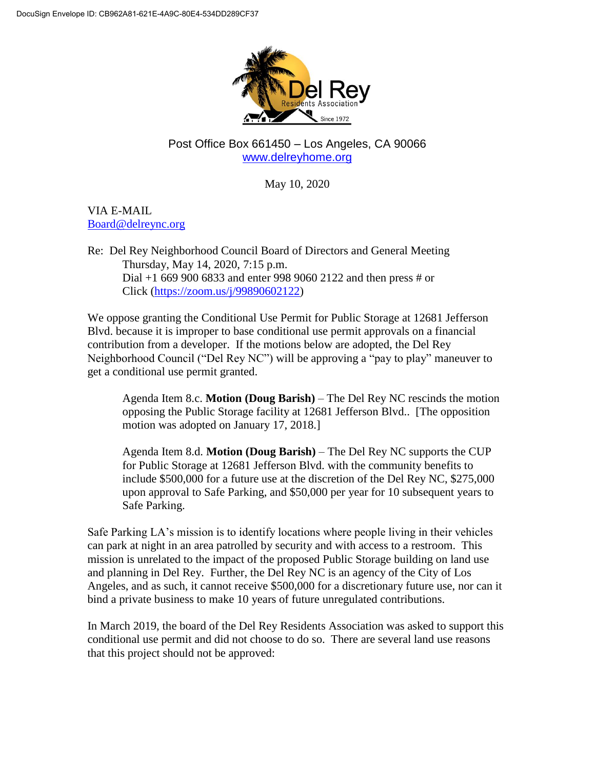

## Post Office Box 661450 – Los Angeles, CA 90066 [www.delreyhome.org](http://www.delreyhome.org/)

May 10, 2020

VIA E-MAIL [Board@delreync.org](mailto:Board@delreync.org)

Re: Del Rey Neighborhood Council Board of Directors and General Meeting Thursday, May 14, 2020, 7:15 p.m. Dial +1 669 900 6833 and enter 998 9060 2122 and then press # or Click [\(https://zoom.us/j/99890602122\)](https://zoom.us/j/99890602122)

We oppose granting the Conditional Use Permit for Public Storage at 12681 Jefferson Blvd. because it is improper to base conditional use permit approvals on a financial contribution from a developer. If the motions below are adopted, the Del Rey Neighborhood Council ("Del Rey NC") will be approving a "pay to play" maneuver to get a conditional use permit granted.

Agenda Item 8.c. **Motion (Doug Barish)** – The Del Rey NC rescinds the motion opposing the Public Storage facility at 12681 Jefferson Blvd.. [The opposition motion was adopted on January 17, 2018.]

Agenda Item 8.d. **Motion (Doug Barish)** – The Del Rey NC supports the CUP for Public Storage at 12681 Jefferson Blvd. with the community benefits to include \$500,000 for a future use at the discretion of the Del Rey NC, \$275,000 upon approval to Safe Parking, and \$50,000 per year for 10 subsequent years to Safe Parking.

Safe Parking LA's mission is to identify locations where people living in their vehicles can park at night in an area patrolled by security and with access to a restroom. This mission is unrelated to the impact of the proposed Public Storage building on land use and planning in Del Rey. Further, the Del Rey NC is an agency of the City of Los Angeles, and as such, it cannot receive \$500,000 for a discretionary future use, nor can it bind a private business to make 10 years of future unregulated contributions.

In March 2019, the board of the Del Rey Residents Association was asked to support this conditional use permit and did not choose to do so. There are several land use reasons that this project should not be approved: